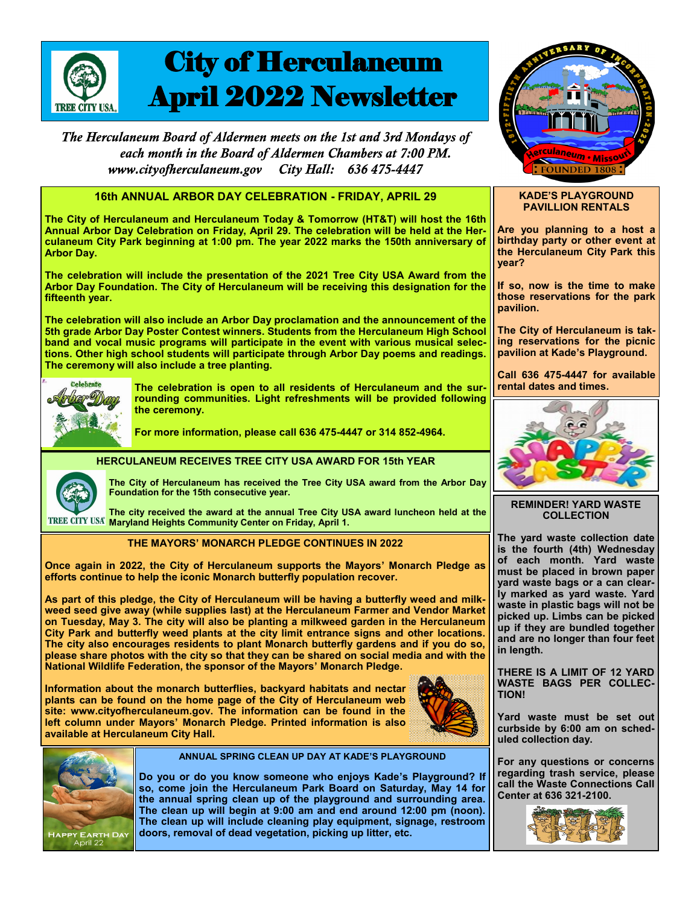

# City of Herculaneum April 2022 Newsletter

The Herculaneum Board of Aldermen meets on the 1st and 3rd Mondays of each month in the Board of Aldermen Chambers at 7:00 PM. City Hall: 636 475-4447 www.cityofherculaneum.gov



# **16th ANNUAL ARBOR DAY CELEBRATION - FRIDAY, APRIL 29**

**The City of Herculaneum and Herculaneum Today & Tomorrow (HT&T) will host the 16th**  Annual Arbor Day Celebration on Friday, April 29. The celebration will be held at the Her**culaneum City Park beginning at 1:00 pm. The year 2022 marks the 150th anniversary of Arbor Day.**

**The celebration will include the presentation of the 2021 Tree City USA Award from the Arbor Day Foundation. The City of Herculaneum will be receiving this designation for the fifteenth year.** 

**The celebration will also include an Arbor Day proclamation and the announcement of the 5th grade Arbor Day Poster Contest winners. Students from the Herculaneum High School band and vocal music programs will participate in the event with various musical selections. Other high school students will participate through Arbor Day poems and readings. The ceremony will also include a tree planting.**



**The celebration is open to all residents of Herculaneum and the surrounding communities. Light refreshments will be provided following the ceremony.**

**For more information, please call 636 475-4447 or 314 852-4964.** 



**The City of Herculaneum has received the Tree City USA award from the Arbor Day Foundation for the 15th consecutive year.**

**The city received the award at the annual Tree City USA award luncheon held at the IREE CITY USA<sup>®</sup> Maryland Heights Community Center on Friday, April 1.** 

# **THE MAYORS' MONARCH PLEDGE CONTINUES IN 2022**

**HERCULANEUM RECEIVES TREE CITY USA AWARD FOR 15th YEAR**

**Once again in 2022, the City of Herculaneum supports the Mayors' Monarch Pledge as efforts continue to help the iconic Monarch butterfly population recover.** 

**As part of this pledge, the City of Herculaneum will be having a butterfly weed and milkweed seed give away (while supplies last) at the Herculaneum Farmer and Vendor Market on Tuesday, May 3. The city will also be planting a milkweed garden in the Herculaneum City Park and butterfly weed plants at the city limit entrance signs and other locations. The city also encourages residents to plant Monarch butterfly gardens and if you do so, please share photos with the city so that they can be shared on social media and with the National Wildlife Federation, the sponsor of the Mayors' Monarch Pledge.**

**Information about the monarch butterflies, backyard habitats and nectar plants can be found on the home page of the City of Herculaneum web site: www.cityofherculaneum.gov. The information can be found in the left column under Mayors' Monarch Pledge. Printed information is also available at Herculaneum City Hall.** 





**ANNUAL SPRING CLEAN UP DAY AT KADE'S PLAYGROUND**

**Do you or do you know someone who enjoys Kade's Playground? If so, come join the Herculaneum Park Board on Saturday, May 14 for the annual spring clean up of the playground and surrounding area. The clean up will begin at 9:00 am and end around 12:00 pm (noon). The clean up will include cleaning play equipment, signage, restroom doors, removal of dead vegetation, picking up litter, etc.** 

### **KADE'S PLAYGROUND PAVILLION RENTALS**

**Are you planning to a host a birthday party or other event at the Herculaneum City Park this year?**

**If so, now is the time to make those reservations for the park pavilion.**

**The City of Herculaneum is taking reservations for the picnic pavilion at Kade's Playground.**

**Call 636 475-4447 for available rental dates and times.**



**REMINDER! YARD WASTE COLLECTION**

**The yard waste collection date is the fourth (4th) Wednesday of each month. Yard waste must be placed in brown paper yard waste bags or a can clearly marked as yard waste. Yard waste in plastic bags will not be picked up. Limbs can be picked up if they are bundled together and are no longer than four feet in length.**

**THERE IS A LIMIT OF 12 YARD WASTE BAGS PER COLLEC-TION!**

**Yard waste must be set out curbside by 6:00 am on scheduled collection day.**

**For any questions or concerns regarding trash service, please call the Waste Connections Call Center at 636 321-2100.**